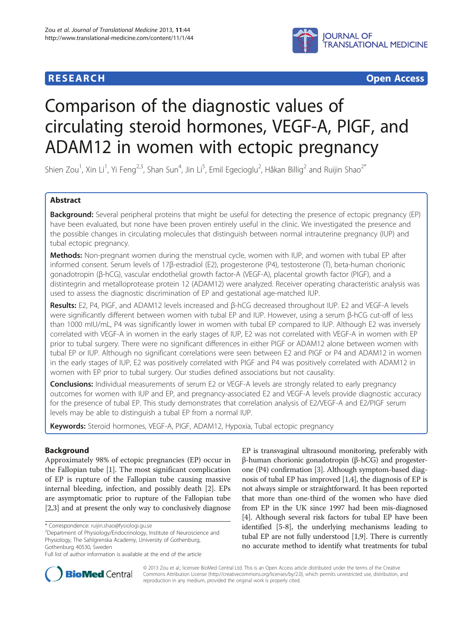

**RESEARCH RESEARCH** *CHECKER CHECKER CHECKER CHECKER CHECKER CHECKER CHECKER CHECKER CHECKER CHECKER CHECKER* 

# Comparison of the diagnostic values of circulating steroid hormones, VEGF-A, PIGF, and ADAM12 in women with ectopic pregnancy

Shien Zou<sup>1</sup>, Xin Li<sup>1</sup>, Yi Feng<sup>2,3</sup>, Shan Sun<sup>4</sup>, Jin Li<sup>5</sup>, Emil Egecioglu<sup>2</sup>, Håkan Billig<sup>2</sup> and Ruijin Shao<sup>2\*</sup>

# Abstract

Background: Several peripheral proteins that might be useful for detecting the presence of ectopic pregnancy (EP) have been evaluated, but none have been proven entirely useful in the clinic. We investigated the presence and the possible changes in circulating molecules that distinguish between normal intrauterine pregnancy (IUP) and tubal ectopic pregnancy.

Methods: Non-pregnant women during the menstrual cycle, women with IUP, and women with tubal EP after informed consent. Serum levels of 17β-estradiol (E2), progesterone (P4), testosterone (T), beta-human chorionic gonadotropin (β-hCG), vascular endothelial growth factor-A (VEGF-A), placental growth factor (PIGF), and a distintegrin and metalloprotease protein 12 (ADAM12) were analyzed. Receiver operating characteristic analysis was used to assess the diagnostic discrimination of EP and gestational age-matched IUP.

Results: E2, P4, PIGF, and ADAM12 levels increased and β-hCG decreased throughout IUP. E2 and VEGF-A levels were significantly different between women with tubal EP and IUP. However, using a serum β-hCG cut-off of less than 1000 mIU/mL, P4 was significantly lower in women with tubal EP compared to IUP. Although E2 was inversely correlated with VEGF-A in women in the early stages of IUP, E2 was not correlated with VEGF-A in women with EP prior to tubal surgery. There were no significant differences in either PIGF or ADAM12 alone between women with tubal EP or IUP. Although no significant correlations were seen between E2 and PIGF or P4 and ADAM12 in women in the early stages of IUP, E2 was positively correlated with PIGF and P4 was positively correlated with ADAM12 in women with EP prior to tubal surgery. Our studies defined associations but not causality.

**Conclusions:** Individual measurements of serum E2 or VEGF-A levels are strongly related to early pregnancy outcomes for women with IUP and EP, and pregnancy-associated E2 and VEGF-A levels provide diagnostic accuracy for the presence of tubal EP. This study demonstrates that correlation analysis of E2/VEGF-A and E2/PIGF serum levels may be able to distinguish a tubal EP from a normal IUP.

Keywords: Steroid hormones, VEGF-A, PIGF, ADAM12, Hypoxia, Tubal ectopic pregnancy

# Background

Approximately 98% of ectopic pregnancies (EP) occur in the Fallopian tube [[1\]](#page-10-0). The most significant complication of EP is rupture of the Fallopian tube causing massive internal bleeding, infection, and possibly death [\[2](#page-10-0)]. EPs are asymptomatic prior to rupture of the Fallopian tube [[2,3](#page-10-0)] and at present the only way to conclusively diagnose EP is transvaginal ultrasound monitoring, preferably with β-human chorionic gonadotropin (β-hCG) and progesterone (P4) confirmation [\[3\]](#page-10-0). Although symptom-based diagnosis of tubal EP has improved [\[1,4\]](#page-10-0), the diagnosis of EP is not always simple or straightforward. It has been reported that more than one-third of the women who have died from EP in the UK since 1997 had been mis-diagnosed [[4\]](#page-10-0). Although several risk factors for tubal EP have been identified [[5-8](#page-10-0)], the underlying mechanisms leading to tubal EP are not fully understood [\[1,9\]](#page-10-0). There is currently no accurate method to identify what treatments for tubal



© 2013 Zou et al.; licensee BioMed Central Ltd. This is an Open Access article distributed under the terms of the Creative Commons Attribution License [\(http://creativecommons.org/licenses/by/2.0\)](http://creativecommons.org/licenses/by/2.0), which permits unrestricted use, distribution, and reproduction in any medium, provided the original work is properly cited.

<sup>\*</sup> Correspondence: [ruijin.shao@fysiologi.gu.se](mailto:ruijin.shao@fysiologi.gu.se) <sup>2</sup>

Department of Physiology/Endocrinology, Institute of Neuroscience and Physiology, The Sahlgrenska Academy, University of Gothenburg, Gothenburg 40530, Sweden

Full list of author information is available at the end of the article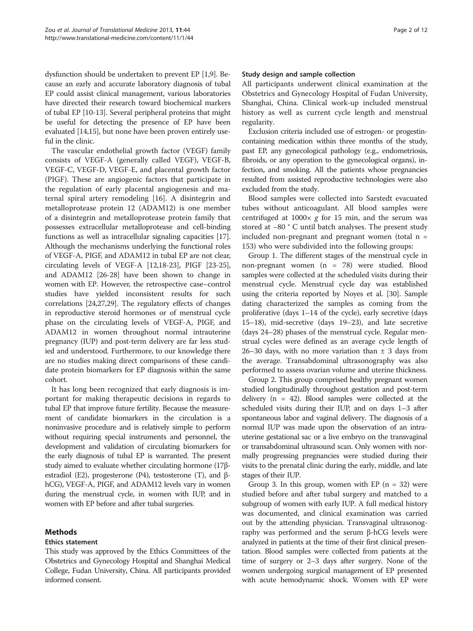dysfunction should be undertaken to prevent EP [\[1,9\]](#page-10-0). Because an early and accurate laboratory diagnosis of tubal EP could assist clinical management, various laboratories have directed their research toward biochemical markers of tubal EP [\[10-13](#page-10-0)]. Several peripheral proteins that might be useful for detecting the presence of EP have been evaluated [\[14,15](#page-10-0)], but none have been proven entirely useful in the clinic.

The vascular endothelial growth factor (VEGF) family consists of VEGF-A (generally called VEGF), VEGF-B, VEGF-C, VEGF-D, VEGF-E, and placental growth factor (PIGF). These are angiogenic factors that participate in the regulation of early placental angiogenesis and maternal spiral artery remodeling [\[16](#page-10-0)]. A disintegrin and metalloprotease protein 12 (ADAM12) is one member of a disintegrin and metalloprotease protein family that possesses extracellular metalloprotease and cell-binding functions as well as intracellular signaling capacities [[17](#page-10-0)]. Although the mechanisms underlying the functional roles of VEGF-A, PIGF, and ADAM12 in tubal EP are not clear, circulating levels of VEGF-A [\[12,18-23\]](#page-10-0), PIGF [[23](#page-10-0)-[25](#page-10-0)], and ADAM12 [[26-](#page-10-0)[28\]](#page-11-0) have been shown to change in women with EP. However, the retrospective case–control studies have yielded inconsistent results for such correlations [\[24,27](#page-10-0)[,29\]](#page-11-0). The regulatory effects of changes in reproductive steroid hormones or of menstrual cycle phase on the circulating levels of VEGF-A, PIGF, and ADAM12 in women throughout normal intrauterine pregnancy (IUP) and post-term delivery are far less studied and understood. Furthermore, to our knowledge there are no studies making direct comparisons of these candidate protein biomarkers for EP diagnosis within the same cohort.

It has long been recognized that early diagnosis is important for making therapeutic decisions in regards to tubal EP that improve future fertility. Because the measurement of candidate biomarkers in the circulation is a noninvasive procedure and is relatively simple to perform without requiring special instruments and personnel, the development and validation of circulating biomarkers for the early diagnosis of tubal EP is warranted. The present study aimed to evaluate whether circulating hormone (17βestradiol (E2), progesterone (P4), testosterone (T), and βhCG), VEGF-A, PIGF, and ADAM12 levels vary in women during the menstrual cycle, in women with IUP, and in women with EP before and after tubal surgeries.

# Methods

# Ethics statement

This study was approved by the Ethics Committees of the Obstetrics and Gynecology Hospital and Shanghai Medical College, Fudan University, China. All participants provided informed consent.

# Study design and sample collection

All participants underwent clinical examination at the Obstetrics and Gynecology Hospital of Fudan University, Shanghai, China. Clinical work-up included menstrual history as well as current cycle length and menstrual regularity.

Exclusion criteria included use of estrogen- or progestincontaining medication within three months of the study, past EP, any gynecological pathology (e.g., endometriosis, fibroids, or any operation to the gynecological organs), infection, and smoking. All the patients whose pregnancies resulted from assisted reproductive technologies were also excluded from the study.

Blood samples were collected into Sarstedt evacuated tubes without anticoagulant. All blood samples were centrifuged at  $1000 \times g$  for 15 min, and the serum was stored at −80 ° C until batch analyses. The present study included non-pregnant and pregnant women (total  $n =$ 153) who were subdivided into the following groups:

Group 1. The different stages of the menstrual cycle in non-pregnant women (n = 78) were studied. Blood samples were collected at the scheduled visits during their menstrual cycle. Menstrual cycle day was established using the criteria reported by Noyes et al. [\[30\]](#page-11-0). Sample dating characterized the samples as coming from the proliferative (days 1–14 of the cycle), early secretive (days 15–18), mid-secretive (days 19–23), and late secretive (days 24–28) phases of the menstrual cycle. Regular menstrual cycles were defined as an average cycle length of 26–30 days, with no more variation than  $\pm$  3 days from the average. Transabdominal ultrasonography was also performed to assess ovarian volume and uterine thickness.

Group 2. This group comprised healthy pregnant women studied longitudinally throughout gestation and post-term delivery  $(n = 42)$ . Blood samples were collected at the scheduled visits during their IUP, and on days 1–3 after spontaneous labor and vaginal delivery. The diagnosis of a normal IUP was made upon the observation of an intrauterine gestational sac or a live embryo on the transvaginal or transabdominal ultrasound scan. Only women with normally progressing pregnancies were studied during their visits to the prenatal clinic during the early, middle, and late stages of their IUP.

Group 3. In this group, women with  $EP(n = 32)$  were studied before and after tubal surgery and matched to a subgroup of women with early IUP. A full medical history was documented, and clinical examination was carried out by the attending physician. Transvaginal ultrasonography was performed and the serum β-hCG levels were analyzed in patients at the time of their first clinical presentation. Blood samples were collected from patients at the time of surgery or 2–3 days after surgery. None of the women undergoing surgical management of EP presented with acute hemodynamic shock. Women with EP were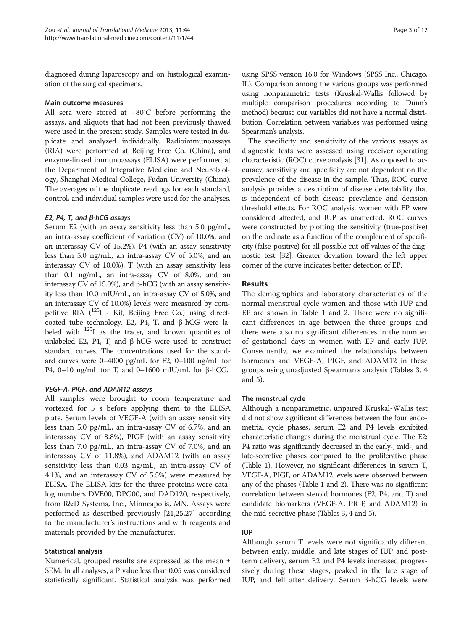diagnosed during laparoscopy and on histological examination of the surgical specimens.

### Main outcome measures

All sera were stored at −80°C before performing the assays, and aliquots that had not been previously thawed were used in the present study. Samples were tested in duplicate and analyzed individually. Radioimmunoassays (RIA) were performed at Beijing Free Co. (China), and enzyme-linked immunoassays (ELISA) were performed at the Department of Integrative Medicine and Neurobiology, Shanghai Medical College, Fudan University (China). The averages of the duplicate readings for each standard, control, and individual samples were used for the analyses.

### E2, P4, T, and β-hCG assays

Serum E2 (with an assay sensitivity less than 5.0 pg/mL, an intra-assay coefficient of variation (CV) of 10.0%, and an interassay CV of 15.2%), P4 (with an assay sensitivity less than 5.0 ng/mL, an intra-assay CV of 5.0%, and an interassay CV of 10.0%), T (with an assay sensitivity less than 0.1 ng/mL, an intra-assay CV of 8.0%, and an interassay CV of 15.0%), and β-hCG (with an assay sensitivity less than 10.0 mIU/mL, an intra-assay CV of 5.0%, and an interassay CV of 10.0%) levels were measured by competitive RIA  $(^{125}I$  - Kit, Beijing Free Co.) using directcoated tube technology. E2, P4, T, and β-hCG were labeled with <sup>125</sup>I as the tracer, and known quantities of unlabeled E2, P4, T, and β-hCG were used to construct standard curves. The concentrations used for the standard curves were 0–4000 pg/mL for E2, 0–100 ng/mL for P4, 0–10 ng/mL for T, and 0–1600 mIU/mL for β-hCG.

# VEGF-A, PIGF, and ADAM12 assays

All samples were brought to room temperature and vortexed for 5 s before applying them to the ELISA plate. Serum levels of VEGF-A (with an assay sensitivity less than 5.0 pg/mL, an intra-assay CV of 6.7%, and an interassay CV of 8.8%), PIGF (with an assay sensitivity less than 7.0 pg/mL, an intra-assay CV of 7.0%, and an interassay CV of 11.8%), and ADAM12 (with an assay sensitivity less than 0.03 ng/mL, an intra-assay CV of 4.1%, and an interassay CV of 5.5%) were measured by ELISA. The ELISA kits for the three proteins were catalog numbers DVE00, DPG00, and DAD120, respectively, from R&D Systems, Inc., Minneapolis, MN. Assays were performed as described previously [\[21,25,27\]](#page-10-0) according to the manufacturer's instructions and with reagents and materials provided by the manufacturer.

### Statistical analysis

Numerical, grouped results are expressed as the mean ± SEM. In all analyses, a P value less than 0.05 was considered statistically significant. Statistical analysis was performed using SPSS version 16.0 for Windows (SPSS Inc., Chicago, IL). Comparison among the various groups was performed using nonparametric tests (Kruskal-Wallis followed by multiple comparison procedures according to Dunn's method) because our variables did not have a normal distribution. Correlation between variables was performed using Spearman's analysis.

The specificity and sensitivity of the various assays as diagnostic tests were assessed using receiver operating characteristic (ROC) curve analysis [\[31\]](#page-11-0). As opposed to accuracy, sensitivity and specificity are not dependent on the prevalence of the disease in the sample. Thus, ROC curve analysis provides a description of disease detectability that is independent of both disease prevalence and decision threshold effects. For ROC analysis, women with EP were considered affected, and IUP as unaffected. ROC curves were constructed by plotting the sensitivity (true-positive) on the ordinate as a function of the complement of specificity (false-positive) for all possible cut-off values of the diagnostic test [[32\]](#page-11-0). Greater deviation toward the left upper corner of the curve indicates better detection of EP.

#### Results

The demographics and laboratory characteristics of the normal menstrual cycle women and those with IUP and EP are shown in Table [1](#page-3-0) and [2](#page-4-0). There were no significant differences in age between the three groups and there were also no significant differences in the number of gestational days in women with EP and early IUP. Consequently, we examined the relationships between hormones and VEGF-A, PIGF, and ADAM12 in these groups using unadjusted Spearman's analysis (Tables [3](#page-4-0), [4](#page-5-0) and [5\)](#page-5-0).

#### The menstrual cycle

Although a nonparametric, unpaired Kruskal-Wallis test did not show significant differences between the four endometrial cycle phases, serum E2 and P4 levels exhibited characteristic changes during the menstrual cycle. The E2: P4 ratio was significantly decreased in the early-, mid-, and late-secretive phases compared to the proliferative phase (Table [1\)](#page-3-0). However, no significant differences in serum T, VEGF-A, PIGF, or ADAM12 levels were observed between any of the phases (Table [1](#page-3-0) and [2\)](#page-4-0). There was no significant correlation between steroid hormones (E2, P4, and T) and candidate biomarkers (VEGF-A, PIGF, and ADAM12) in the mid-secretive phase (Tables [3,](#page-4-0) [4](#page-5-0) and [5\)](#page-5-0).

### IUP

Although serum T levels were not significantly different between early, middle, and late stages of IUP and postterm delivery, serum E2 and P4 levels increased progressively during these stages, peaked in the late stage of IUP, and fell after delivery. Serum β-hCG levels were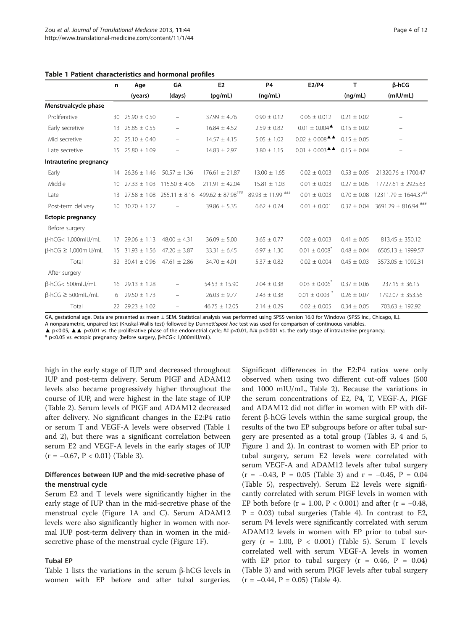|                                  | n               | Age                   | GA                       | E <sub>2</sub>                    | <b>P4</b>             | E2/P4                                              | $\mathsf{T}$    | <b>B-hCG</b>                         |
|----------------------------------|-----------------|-----------------------|--------------------------|-----------------------------------|-----------------------|----------------------------------------------------|-----------------|--------------------------------------|
|                                  |                 | (years)               | (days)                   | (pq/mL)                           | (nq/mL)               |                                                    | (nq/mL)         | (mIU/mL)                             |
| Menstrualcycle phase             |                 |                       |                          |                                   |                       |                                                    |                 |                                      |
| Proliferative                    | 30              | $25.90 \pm 0.50$      |                          | $37.99 \pm 4.76$                  | $0.90 \pm 0.12$       | $0.06 \pm 0.012$                                   | $0.21 \pm 0.02$ |                                      |
| Early secretive                  | 13 <sup>2</sup> | $25.85 \pm 0.55$      | $\overline{\phantom{0}}$ | $16.84 \pm 4.52$                  | $2.59 \pm 0.82$       | $0.01 \pm 0.004$ <sup><math>\triangle</math></sup> | $0.15 \pm 0.02$ |                                      |
| Mid secretive                    | 20              | $25.10 \pm 0.40$      | $\overline{\phantom{0}}$ | $14.57 \pm 4.15$                  | $5.05 \pm 1.02$       | $0.02 \pm 0.008$ <sup><math>\triangle</math></sup> | $0.15 \pm 0.05$ |                                      |
| Late secretive                   |                 | $15$ 25.80 $\pm$ 1.09 | $\overline{\phantom{0}}$ | $14.83 \pm 2.97$                  | $3.80 \pm 1.15$       | $0.01 \pm 0.003$ <sup><math>\triangle</math></sup> | $0.15 \pm 0.04$ | $\overline{\phantom{m}}$             |
| Intrauterine pregnancy           |                 |                       |                          |                                   |                       |                                                    |                 |                                      |
| Early                            |                 | $14$ 26.36 $\pm$ 1.46 | $50.57 \pm 1.36$         | $176.61 \pm 21.87$                | $13.00 \pm 1.65$      | $0.02 \pm 0.003$                                   | $0.53 \pm 0.05$ | 21320.76 ± 1700.47                   |
| Middle                           | 10 <sup>°</sup> | $27.33 \pm 1.03$      | $115.50 \pm 4.06$        | $211.91 \pm 42.04$                | $15.81 \pm 1.03$      | $0.01 \pm 0.003$                                   | $0.27 \pm 0.05$ | 17727.61 ± 2925.63                   |
| Late                             | 13 <sup>2</sup> | $27.58 \pm 1.08$      | $255.11 \pm 8.16$        | $499.62 \pm 87.98$ <sup>###</sup> | $89.93 \pm 11.99$ *** | $0.01 \pm 0.003$                                   | $0.70 \pm 0.08$ | $12311.79 \pm 1644.37$ <sup>##</sup> |
| Post-term delivery               | 10 <sup>°</sup> | $30.70 \pm 1.27$      |                          | $39.86 \pm 5.35$                  | $6.62 \pm 0.74$       | $0.01 \pm 0.001$                                   | $0.37 \pm 0.04$ | $3691.29 \pm 816.94$ <sup>###</sup>  |
| <b>Ectopic pregnancy</b>         |                 |                       |                          |                                   |                       |                                                    |                 |                                      |
| Before surgery                   |                 |                       |                          |                                   |                       |                                                    |                 |                                      |
| B-hCG< 1,000mlU/mL               | 17              | $29.06 \pm 1.13$      | $48.00 \pm 4.31$         | $36.09 \pm 5.00$                  | $3.65 \pm 0.77$       | $0.02 \pm 0.003$                                   | $0.41 \pm 0.05$ | $813.45 \pm 350.12$                  |
| $\beta$ -hCG $\geq 1,000$ mlU/mL | 15              | $31.93 \pm 1.56$      | $47.20 \pm 3.87$         | $33.31 \pm 6.45$                  | $6.97 \pm 1.30$       | $0.01 \pm 0.008$                                   | $0.48 \pm 0.04$ | 6505.13 ± 1999.57                    |
| Total                            |                 | 32 30.41 $\pm$ 0.96   | $47.61 \pm 2.86$         | $34.70 \pm 4.01$                  | $5.37 \pm 0.82$       | $0.02 \pm 0.004$                                   | $0.45 \pm 0.03$ | 3573.05 ± 1092.31                    |
| After surgery                    |                 |                       |                          |                                   |                       |                                                    |                 |                                      |
| B-hCG<500mlU/mL                  |                 | $16$ 29.13 $\pm$ 1.28 |                          | $54.53 \pm 15.90$                 | $2.04 \pm 0.38$       | $0.03 \pm 0.006^*$                                 | $0.37 \pm 0.06$ | $237.15 \pm 36.15$                   |
| $\beta$ -hCG $\geq$ 500mlU/mL    | 6               | $29.50 \pm 1.73$      | $\qquad \qquad -$        | $26.03 \pm 9.77$                  | $2.43 \pm 0.38$       | $0.01 \pm 0.003$                                   | $0.26 \pm 0.07$ | 1792.07 ± 353.56                     |
| Total                            | 22              | $29.23 \pm 1.02$      | $\qquad \qquad -$        | $46.75 \pm 12.05$                 | $2.14 \pm 0.29$       | $0.02 \pm 0.005$                                   | $0.34 \pm 0.05$ | $703.63 \pm 192.92$                  |

#### <span id="page-3-0"></span>Table 1 Patient characteristics and hormonal profiles

GA, gestational age. Data are presented as mean ± SEM. Statistical analysis was performed using SPSS version 16.0 for Windows (SPSS Inc., Chicago, IL).

A nonparametric, unpaired test (Kruskal-Wallis test) followed by Dunnett'spost hoc test was used for comparison of continuous variables.

▲ p<0.05, ▲▲ p<0.01 vs. the proliferative phase of the endometrial cycle; ## p<0.01, ### p<0.001 vs. the early stage of intrauterine pregnancy;

\* p<0.05 vs. ectopic pregnancy (before surgery, β-hCG< 1,000mIU/mL).

high in the early stage of IUP and decreased throughout IUP and post-term delivery. Serum PIGF and ADAM12 levels also became progressively higher throughout the course of IUP, and were highest in the late stage of IUP (Table [2](#page-4-0)). Serum levels of PIGF and ADAM12 decreased after delivery. No significant changes in the E2:P4 ratio or serum T and VEGF-A levels were observed (Table 1 and [2\)](#page-4-0), but there was a significant correlation between serum E2 and VEGF-A levels in the early stages of IUP  $(r = -0.67, P < 0.01)$  (Table [3\)](#page-4-0).

# Differences between IUP and the mid-secretive phase of the menstrual cycle

Serum E2 and T levels were significantly higher in the early stage of IUP than in the mid-secretive phase of the menstrual cycle (Figure [1A](#page-6-0) and C). Serum ADAM12 levels were also significantly higher in women with normal IUP post-term delivery than in women in the midsecretive phase of the menstrual cycle (Figure [1F](#page-6-0)).

#### Tubal EP

Table 1 lists the variations in the serum  $\beta$ -hCG levels in women with EP before and after tubal surgeries.

Significant differences in the E2:P4 ratios were only observed when using two different cut-off values (500 and 1000 mIU/mL, Table [2](#page-4-0)). Because the variations in the serum concentrations of E2, P4, T, VEGF-A, PIGF and ADAM12 did not differ in women with EP with different β-hCG levels within the same surgical group, the results of the two EP subgroups before or after tubal surgery are presented as a total group (Tables [3,](#page-4-0) [4](#page-5-0) and [5](#page-5-0), Figure [1](#page-6-0) and [2](#page-8-0)). In contrast to women with EP prior to tubal surgery, serum E2 levels were correlated with serum VEGF-A and ADAM12 levels after tubal surgery  $(r = -0.43, P = 0.05$  (Table [3](#page-4-0)) and  $r = -0.45, P = 0.04$ (Table [5\)](#page-5-0), respectively). Serum E2 levels were significantly correlated with serum PIGF levels in women with EP both before ( $r = 1.00$ ,  $P < 0.001$ ) and after ( $r = -0.48$ ,  $P = 0.03$ ) tubal surgeries (Table [4\)](#page-5-0). In contrast to E2, serum P4 levels were significantly correlated with serum ADAM12 levels in women with EP prior to tubal surgery ( $r = 1.00$ ,  $P < 0.001$ ) (Table [5\)](#page-5-0). Serum T levels correlated well with serum VEGF-A levels in women with EP prior to tubal surgery  $(r = 0.46, P = 0.04)$ (Table [3](#page-4-0)) and with serum PIGF levels after tubal surgery  $(r = -0.44, P = 0.05)$  (Table [4](#page-5-0)).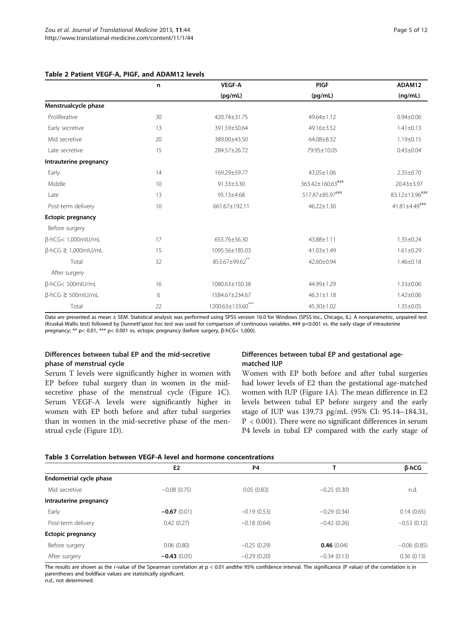<span id="page-4-0"></span>

| Table 2 Patient VEGF-A, PIGF, and ADAM12 levels |  |
|-------------------------------------------------|--|
|-------------------------------------------------|--|

|                                  | n  | <b>VEGF-A</b>  | <b>PIGF</b>      | ADAM12               |
|----------------------------------|----|----------------|------------------|----------------------|
|                                  |    | (pg/mL)        | (pg/mL)          | (ng/mL)              |
| Menstrualcycle phase             |    |                |                  |                      |
| Proliferative                    | 30 | 420.74±31.75   | 49.64±1.12       | $0.94 \pm 0.06$      |
| Early secretive                  | 13 | 391.59±50.64   | 49.16±3.52       | $1.41 \pm 0.13$      |
| Mid secretive                    | 20 | 389.00±43.50   | 64.08±8.32       | $1.19 \pm 0.15$      |
| Late secretive                   | 15 | 284.57±26.72   | 79.95±10.05      | $0.43 \pm 0.04$      |
| Intrauterine pregnancy           |    |                |                  |                      |
| Early                            | 14 | 169.29±59.77   | 43.05±1.06       | $2.35 \pm 0.70$      |
| Middle                           | 10 | 91.33±3.30     | 363.42±160.63### | 20.43±3.97           |
| Late                             | 13 | 95.13±4.68     | 517.87±85.97###  | 83.12±13.96###       |
| Post-term delivery               | 10 | 661.67±192.11  | $46.22 \pm 1.30$ | $41.81 \pm 4.49$ ### |
| <b>Ectopic pregnancy</b>         |    |                |                  |                      |
| Before surgery                   |    |                |                  |                      |
| β-hCG< 1,000mlU/mL               | 17 | 655.76±56.30   | 43.88±1.11       | $1.35 \pm 0.24$      |
| $\beta$ -hCG $\geq 1,000$ mlU/mL | 15 | 1095.56±185.03 | 41.03±1.49       | $1.61 \pm 0.29$      |
| Total                            | 32 | 853.67±99.62** | 42.60±0.94       | $1.46 \pm 0.18$      |
| After surgery                    |    |                |                  |                      |
| β-hCG<500mlU/mL                  | 16 | 1080.63±150.38 | 44.99±1.29       | $1.33 \pm 0.06$      |
| $\beta$ -hCG $\geq$ 500mlU/mL    | 6  | 1584.67±234.67 | $46.31 \pm 1.18$ | $1.42 \pm 0.06$      |
| Total                            | 22 | 1200.63±133.60 | 45.30±1.02       | $1.35 \pm 0.05$      |

Data are presented as mean ± SEM. Statistical analysis was performed using SPSS version 16.0 for Windows (SPSS Inc., Chicago, IL). A nonparametric, unpaired test (Kruskal-Wallis test) followed by Dunnett'spost hoc test was used for comparison of continuous variables. ### p<0.001 vs. the early stage of intrauterine pregnancy; \*\* p< 0.01, \*\*\* p< 0.001 vs. ectopic pregnancy (before surgery, β-hCG< 1,000).

# Differences between tubal EP and the mid-secretive phase of menstrual cycle

Serum T levels were significantly higher in women with EP before tubal surgery than in women in the midsecretive phase of the menstrual cycle (Figure [1](#page-6-0)C). Serum VEGF-A levels were significantly higher in women with EP both before and after tubal surgeries than in women in the mid-secretive phase of the menstrual cycle (Figure [1](#page-6-0)D).

## Differences between tubal EP and gestational agematched IUP

Women with EP both before and after tubal surgeries had lower levels of E2 than the gestational age-matched women with IUP (Figure [1](#page-6-0)A). The mean difference in E2 levels between tubal EP before surgery and the early stage of IUP was 139.73 pg/mL (95% CI: 95.14–184.31, P < 0.001). There were no significant differences in serum P4 levels in tubal EP compared with the early stage of

# Table 3 Correlation between VEGF-A level and hormone concentrations

|                          | E <sub>2</sub> | P <sub>4</sub> |               | β-hCG         |  |  |  |
|--------------------------|----------------|----------------|---------------|---------------|--|--|--|
| Endometrial cycle phase  |                |                |               |               |  |  |  |
| Mid secretive            | $-0.08(0.75)$  | 0.05(0.83)     | $-0.25(0.30)$ | n.d.          |  |  |  |
| Intrauterine pregnancy   |                |                |               |               |  |  |  |
| Early                    | $-0.67(0.01)$  | $-0.19(0.53)$  | $-0.29(0.34)$ | 0.14(0.65)    |  |  |  |
| Post-term delivery       | 0.42(0.27)     | $-0.18(0.64)$  | $-0.42(0.26)$ | $-0.53(0.12)$ |  |  |  |
| <b>Ectopic pregnancy</b> |                |                |               |               |  |  |  |
| Before surgery           | 0.06(0.80)     | $-0.25(0.29)$  | 0.46(0.04)    | $-0.06(0.85)$ |  |  |  |
| After surgery            | $-0.43(0.05)$  | $-0.29(0.20)$  | $-0.34(0.13)$ | 0.36(0.13)    |  |  |  |
|                          |                |                |               |               |  |  |  |

The results are shown as the r-value of the Spearman correlation at  $p < 0.01$  andthe 95% confidence interval. The significance (P value) of the correlation is in parentheses and boldface values are statistically significant.

n.d., not determined.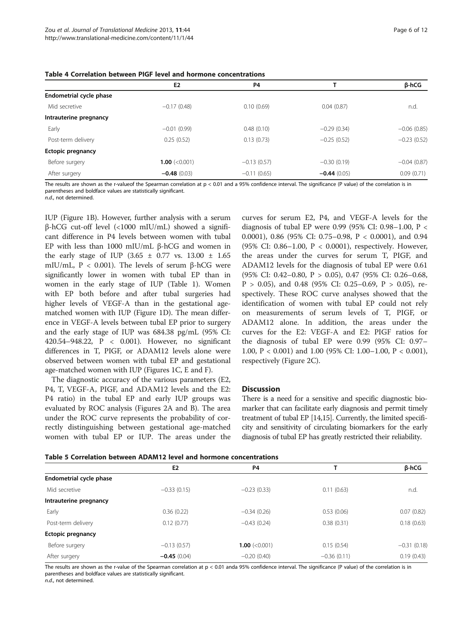<span id="page-5-0"></span>

| Table 4 Correlation between PIGF level and hormone concentrations |  |  |
|-------------------------------------------------------------------|--|--|
|-------------------------------------------------------------------|--|--|

|                          | E2               | P <sub>4</sub> |               | β-hCG         |
|--------------------------|------------------|----------------|---------------|---------------|
| Endometrial cycle phase  |                  |                |               |               |
| Mid secretive            | $-0.17(0.48)$    | 0.10(0.69)     | 0.04(0.87)    | n.d.          |
| Intrauterine pregnancy   |                  |                |               |               |
| Early                    | $-0.01(0.99)$    | 0.48(0.10)     | $-0.29(0.34)$ | $-0.06(0.85)$ |
| Post-term delivery       | 0.25(0.52)       | 0.13(0.73)     | $-0.25(0.52)$ | $-0.23(0.52)$ |
| <b>Ectopic pregnancy</b> |                  |                |               |               |
| Before surgery           | 1.00 $(< 0.001)$ | $-0.13(0.57)$  | $-0.30(0.19)$ | $-0.04(0.87)$ |
| After surgery            | $-0.48(0.03)$    | $-0.11(0.65)$  | $-0.44(0.05)$ | 0.09(0.71)    |

The results are shown as the r-valueof the Spearman correlation at p < 0.01 and a 95% confidence interval. The significance (P value) of the correlation is in parentheses and boldface values are statistically significant.

n.d., not determined.

IUP (Figure [1](#page-6-0)B). However, further analysis with a serum β-hCG cut-off level (<1000 mIU/mL) showed a significant difference in P4 levels between women with tubal EP with less than 1000 mIU/mL β-hCG and women in the early stage of IUP  $(3.65 \pm 0.77 \text{ vs. } 13.00 \pm 1.65 \text{ s})$ mIU/mL, P < 0.001). The levels of serum β-hCG were significantly lower in women with tubal EP than in women in the early stage of IUP (Table [1\)](#page-3-0). Women with EP both before and after tubal surgeries had higher levels of VEGF-A than in the gestational agematched women with IUP (Figure [1](#page-6-0)D). The mean difference in VEGF-A levels between tubal EP prior to surgery and the early stage of IUP was 684.38 pg/mL (95% CI: 420.54–948.22, P < 0.001). However, no significant differences in T, PIGF, or ADAM12 levels alone were observed between women with tubal EP and gestational age-matched women with IUP (Figures [1C](#page-6-0), E and F).

The diagnostic accuracy of the various parameters (E2, P4, T, VEGF-A, PIGF, and ADAM12 levels and the E2: P4 ratio) in the tubal EP and early IUP groups was evaluated by ROC analysis (Figures [2A](#page-8-0) and B). The area under the ROC curve represents the probability of correctly distinguishing between gestational age-matched women with tubal EP or IUP. The areas under the

curves for serum E2, P4, and VEGF-A levels for the diagnosis of tubal EP were 0.99 (95% CI: 0.98–1.00, P < 0.0001), 0.86 (95% CI: 0.75–0.98, P < 0.0001), and 0.94 (95% CI: 0.86–1.00, P < 0.0001), respectively. However, the areas under the curves for serum T, PIGF, and ADAM12 levels for the diagnosis of tubal EP were 0.61 (95% CI: 0.42–0.80, P > 0.05), 0.47 (95% CI: 0.26–0.68,  $P > 0.05$ ), and 0.48 (95% CI: 0.25–0.69,  $P > 0.05$ ), respectively. These ROC curve analyses showed that the identification of women with tubal EP could not rely on measurements of serum levels of T, PIGF, or ADAM12 alone. In addition, the areas under the curves for the E2: VEGF-A and E2: PIGF ratios for the diagnosis of tubal EP were 0.99 (95% CI: 0.97– 1.00, P < 0.001) and 1.00 (95% CI: 1.00–1.00, P < 0.001), respectively (Figure [2](#page-8-0)C).

### **Discussion**

There is a need for a sensitive and specific diagnostic biomarker that can facilitate early diagnosis and permit timely treatment of tubal EP [[14,15\]](#page-10-0). Currently, the limited specificity and sensitivity of circulating biomarkers for the early diagnosis of tubal EP has greatly restricted their reliability.

| Table 5 Correlation between ADAM12 level and hormone concentrations |  |  |  |  |  |
|---------------------------------------------------------------------|--|--|--|--|--|
|---------------------------------------------------------------------|--|--|--|--|--|

| <u>IQMIC J CONCIGNUM DELWEEN ADAM IZ IEVEL QIIU MUMUUE CONCENTIQUUM</u> |                |                                     |               |               |  |  |
|-------------------------------------------------------------------------|----------------|-------------------------------------|---------------|---------------|--|--|
|                                                                         | E <sub>2</sub> | P <sub>4</sub>                      |               | β-hCG         |  |  |
| Endometrial cycle phase                                                 |                |                                     |               |               |  |  |
| Mid secretive                                                           | $-0.33(0.15)$  | $-0.23(0.33)$                       | 0.11(0.63)    | n.d.          |  |  |
| Intrauterine pregnancy                                                  |                |                                     |               |               |  |  |
| Early                                                                   | 0.36(0.22)     | $-0.34(0.26)$                       | 0.53(0.06)    | 0.07(0.82)    |  |  |
| Post-term delivery                                                      | 0.12(0.77)     | $-0.43(0.24)$                       | 0.38(0.31)    | 0.18(0.63)    |  |  |
| Ectopic pregnancy                                                       |                |                                     |               |               |  |  |
| Before surgery                                                          | $-0.13(0.57)$  | <b>1.00</b> $\langle 0.001 \rangle$ | 0.15(0.54)    | $-0.31(0.18)$ |  |  |
| After surgery                                                           | $-0.45(0.04)$  | $-0.20(0.40)$                       | $-0.36(0.11)$ | 0.19(0.43)    |  |  |
|                                                                         |                |                                     |               |               |  |  |

The results are shown as the r-value of the Spearman correlation at p < 0.01 anda 95% confidence interval. The significance (P value) of the correlation is in parentheses and boldface values are statistically significant.

n.d., not determined.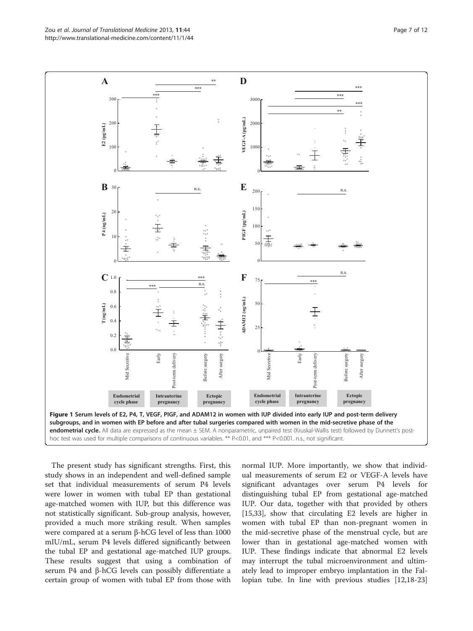The present study has significant strengths. First, this study shows in an independent and well-defined sample set that individual measurements of serum P4 levels were lower in women with tubal EP than gestational age-matched women with IUP, but this difference was not statistically significant. Sub-group analysis, however, provided a much more striking result. When samples were compared at a serum β-hCG level of less than 1000 mIU/mL, serum P4 levels differed significantly between the tubal EP and gestational age-matched IUP groups. These results suggest that using a combination of serum P4 and β-hCG levels can possibly differentiate a certain group of women with tubal EP from those with

normal IUP. More importantly, we show that individual measurements of serum E2 or VEGF-A levels have significant advantages over serum P4 levels for distinguishing tubal EP from gestational age-matched IUP. Our data, together with that provided by others [[15,](#page-10-0)[33\]](#page-11-0), show that circulating E2 levels are higher in women with tubal EP than non-pregnant women in the mid-secretive phase of the menstrual cycle, but are lower than in gestational age-matched women with IUP. These findings indicate that abnormal E2 levels may interrupt the tubal microenvironment and ultimately lead to improper embryo implantation in the Fallopian tube. In line with previous studies [\[12,18](#page-10-0)-[23](#page-10-0)]

<span id="page-6-0"></span>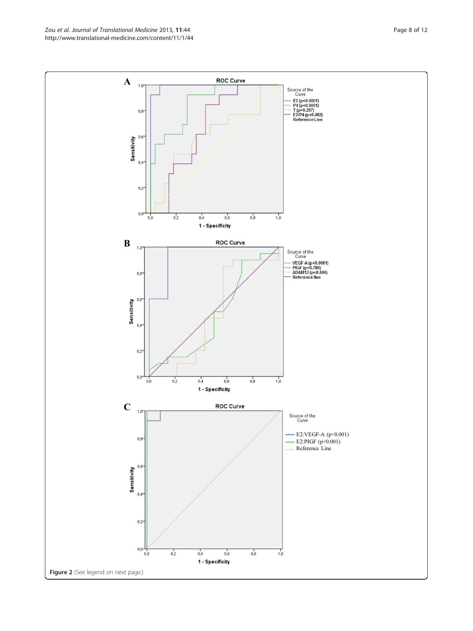Zou et al. Journal of Translational Medicine 2013, 11:44 Page 8 of 12 http://www.translational-medicine.com/content/11/1/44

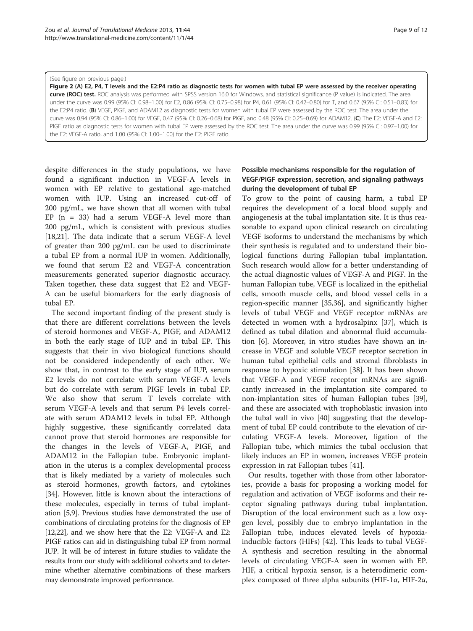#### <span id="page-8-0"></span>(See figure on previous page.)

Figure 2 (A) E2, P4, T levels and the E2:P4 ratio as diagnostic tests for women with tubal EP were assessed by the receiver operating curve (ROC) test. ROC analysis was performed with SPSS version 16.0 for Windows, and statistical significance (P value) is indicated. The area under the curve was 0.99 (95% CI: 0.98–1.00) for E2, 0.86 (95% CI: 0.75–0.98) for P4, 0.61 (95% CI: 0.42–0.80) for T, and 0.67 (95% CI: 0.51–0.83) for the E2:P4 ratio. (B) VEGF, PIGF, and ADAM12 as diagnostic tests for women with tubal EP were assessed by the ROC test. The area under the curve was 0.94 (95% CI: 0.86–1.00) for VEGF, 0.47 (95% CI: 0.26–0.68) for PIGF, and 0.48 (95% CI: 0.25–0.69) for ADAM12. (C) The E2: VEGF-A and E2: PIGF ratio as diagnostic tests for women with tubal EP were assessed by the ROC test. The area under the curve was 0.99 (95% CI: 0.97–1.00) for the E2: VEGF-A ratio, and 1.00 (95% CI: 1.00–1.00) for the E2: PIGF ratio.

despite differences in the study populations, we have found a significant induction in VEGF-A levels in women with EP relative to gestational age-matched women with IUP. Using an increased cut-off of 200 pg/mL, we have shown that all women with tubal EP  $(n = 33)$  had a serum VEGF-A level more than 200 pg/mL, which is consistent with previous studies [[18,21\]](#page-10-0). The data indicate that a serum VEGF-A level of greater than 200 pg/mL can be used to discriminate a tubal EP from a normal IUP in women. Additionally, we found that serum E2 and VEGF-A concentration measurements generated superior diagnostic accuracy. Taken together, these data suggest that E2 and VEGF-A can be useful biomarkers for the early diagnosis of tubal EP.

The second important finding of the present study is that there are different correlations between the levels of steroid hormones and VEGF-A, PIGF, and ADAM12 in both the early stage of IUP and in tubal EP. This suggests that their in vivo biological functions should not be considered independently of each other. We show that, in contrast to the early stage of IUP, serum E2 levels do not correlate with serum VEGF-A levels but do correlate with serum PIGF levels in tubal EP. We also show that serum T levels correlate with serum VEGF-A levels and that serum P4 levels correlate with serum ADAM12 levels in tubal EP. Although highly suggestive, these significantly correlated data cannot prove that steroid hormones are responsible for the changes in the levels of VEGF-A, PIGF, and ADAM12 in the Fallopian tube. Embryonic implantation in the uterus is a complex developmental process that is likely mediated by a variety of molecules such as steroid hormones, growth factors, and cytokines [[34\]](#page-11-0). However, little is known about the interactions of these molecules, especially in terms of tubal implantation [\[5,9\]](#page-10-0). Previous studies have demonstrated the use of combinations of circulating proteins for the diagnosis of EP [[12,22\]](#page-10-0), and we show here that the E2: VEGF-A and E2: PIGF ratios can aid in distinguishing tubal EP from normal IUP. It will be of interest in future studies to validate the results from our study with additional cohorts and to determine whether alternative combinations of these markers may demonstrate improved performance.

# Possible mechanisms responsible for the regulation of VEGF/PIGF expression, secretion, and signaling pathways during the development of tubal EP

To grow to the point of causing harm, a tubal EP requires the development of a local blood supply and angiogenesis at the tubal implantation site. It is thus reasonable to expand upon clinical research on circulating VEGF isoforms to understand the mechanisms by which their synthesis is regulated and to understand their biological functions during Fallopian tubal implantation. Such research would allow for a better understanding of the actual diagnostic values of VEGF-A and PIGF. In the human Fallopian tube, VEGF is localized in the epithelial cells, smooth muscle cells, and blood vessel cells in a region-specific manner [\[35,36\]](#page-11-0), and significantly higher levels of tubal VEGF and VEGF receptor mRNAs are detected in women with a hydrosalpinx [\[37](#page-11-0)], which is defined as tubal dilation and abnormal fluid accumulation [[6\]](#page-10-0). Moreover, in vitro studies have shown an increase in VEGF and soluble VEGF receptor secretion in human tubal epithelial cells and stromal fibroblasts in response to hypoxic stimulation [[38\]](#page-11-0). It has been shown that VEGF-A and VEGF receptor mRNAs are significantly increased in the implantation site compared to non-implantation sites of human Fallopian tubes [\[39](#page-11-0)], and these are associated with trophoblastic invasion into the tubal wall in vivo [[40\]](#page-11-0) suggesting that the development of tubal EP could contribute to the elevation of circulating VEGF-A levels. Moreover, ligation of the Fallopian tube, which mimics the tubal occlusion that likely induces an EP in women, increases VEGF protein expression in rat Fallopian tubes [[41\]](#page-11-0).

Our results, together with those from other laboratories, provide a basis for proposing a working model for regulation and activation of VEGF isoforms and their receptor signaling pathways during tubal implantation. Disruption of the local environment such as a low oxygen level, possibly due to embryo implantation in the Fallopian tube, induces elevated levels of hypoxiainducible factors (HIFs) [[42\]](#page-11-0). This leads to tubal VEGF-A synthesis and secretion resulting in the abnormal levels of circulating VEGF-A seen in women with EP. HIF, a critical hypoxia sensor, is a heterodimeric complex composed of three alpha subunits (HIF-1α, HIF-2α,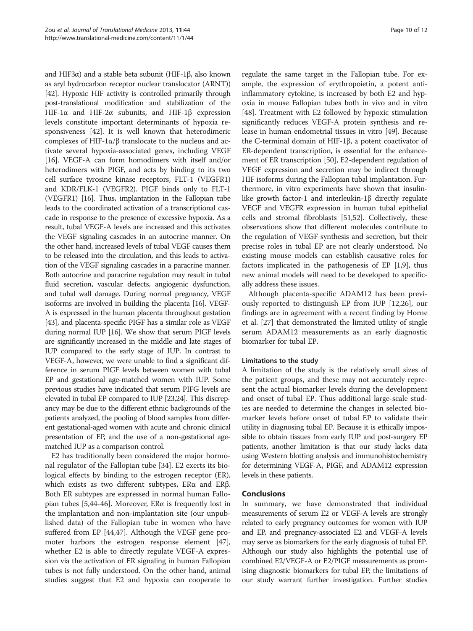and HIF3α) and a stable beta subunit (HIF-1β, also known as aryl hydrocarbon receptor nuclear translocator (ARNT)) [[42](#page-11-0)]. Hypoxic HIF activity is controlled primarily through post-translational modification and stabilization of the HIF-1α and HIF-2α subunits, and HIF-1β expression levels constitute important determinants of hypoxia responsiveness [\[42\]](#page-11-0). It is well known that heterodimeric complexes of HIF-1α/β translocate to the nucleus and activate several hypoxia-associated genes, including VEGF [[16](#page-10-0)]. VEGF-A can form homodimers with itself and/or heterodimers with PIGF, and acts by binding to its two cell surface tyrosine kinase receptors, FLT-1 (VEGFR1) and KDR/FLK-1 (VEGFR2). PIGF binds only to FLT-1 (VEGFR1) [\[16\]](#page-10-0). Thus, implantation in the Fallopian tube leads to the coordinated activation of a transcriptional cascade in response to the presence of excessive hypoxia. As a result, tubal VEGF-A levels are increased and this activates the VEGF signaling cascades in an autocrine manner. On the other hand, increased levels of tubal VEGF causes them to be released into the circulation, and this leads to activation of the VEGF signaling cascades in a paracrine manner. Both autocrine and paracrine regulation may result in tubal fluid secretion, vascular defects, angiogenic dysfunction, and tubal wall damage. During normal pregnancy, VEGF isoforms are involved in building the placenta [\[16\]](#page-10-0). VEGF-A is expressed in the human placenta throughout gestation [[43](#page-11-0)], and placenta-specific PIGF has a similar role as VEGF during normal IUP [\[16\]](#page-10-0). We show that serum PIGF levels are significantly increased in the middle and late stages of IUP compared to the early stage of IUP. In contrast to VEGF-A, however, we were unable to find a significant difference in serum PIGF levels between women with tubal EP and gestational age-matched women with IUP. Some previous studies have indicated that serum PIFG levels are elevated in tubal EP compared to IUP [\[23,24](#page-10-0)]. This discrepancy may be due to the different ethnic backgrounds of the patients analyzed, the pooling of blood samples from different gestational-aged women with acute and chronic clinical presentation of EP, and the use of a non-gestational agematched IUP as a comparison control.

E2 has traditionally been considered the major hormonal regulator of the Fallopian tube [[34\]](#page-11-0). E2 exerts its biological effects by binding to the estrogen receptor (ER), which exists as two different subtypes, ERα and ERβ. Both ER subtypes are expressed in normal human Fallopian tubes [[5,](#page-10-0)[44-46](#page-11-0)]. Moreover, ERα is frequently lost in the implantation and non-implantation site (our unpublished data) of the Fallopian tube in women who have suffered from EP [[44,47\]](#page-11-0). Although the VEGF gene promoter harbors the estrogen response element [\[47](#page-11-0)], whether E2 is able to directly regulate VEGF-A expression via the activation of ER signaling in human Fallopian tubes is not fully understood. On the other hand, animal studies suggest that E2 and hypoxia can cooperate to

regulate the same target in the Fallopian tube. For example, the expression of erythropoietin, a potent antiinflammatory cytokine, is increased by both E2 and hypoxia in mouse Fallopian tubes both in vivo and in vitro [[48](#page-11-0)]. Treatment with E2 followed by hypoxic stimulation significantly reduces VEGF-A protein synthesis and release in human endometrial tissues in vitro [\[49\]](#page-11-0). Because the C-terminal domain of HIF-1β, a potent coactivator of ER-dependent transcription, is essential for the enhancement of ER transcription [\[50\]](#page-11-0), E2-dependent regulation of VEGF expression and secretion may be indirect through HIF isoforms during the Fallopian tubal implantation. Furthermore, in vitro experiments have shown that insulinlike growth factor-1 and interleukin-1β directly regulate VEGF and VEGFR expression in human tubal epithelial cells and stromal fibroblasts [[51,52\]](#page-11-0). Collectively, these observations show that different molecules contribute to the regulation of VEGF synthesis and secretion, but their precise roles in tubal EP are not clearly understood. No existing mouse models can establish causative roles for factors implicated in the pathogenesis of EP [[1,9](#page-10-0)], thus new animal models will need to be developed to specifically address these issues.

Although placenta-specific ADAM12 has been previously reported to distinguish EP from IUP [\[12,26\]](#page-10-0), our findings are in agreement with a recent finding by Horne et al. [[27\]](#page-10-0) that demonstrated the limited utility of single serum ADAM12 measurements as an early diagnostic biomarker for tubal EP.

# Limitations to the study

A limitation of the study is the relatively small sizes of the patient groups, and these may not accurately represent the actual biomarker levels during the development and onset of tubal EP. Thus additional large-scale studies are needed to determine the changes in selected biomarker levels before onset of tubal EP to validate their utility in diagnosing tubal EP. Because it is ethically impossible to obtain tissues from early IUP and post-surgery EP patients, another limitation is that our study lacks data using Western blotting analysis and immunohistochemistry for determining VEGF-A, PIGF, and ADAM12 expression levels in these patients.

### Conclusions

In summary, we have demonstrated that individual measurements of serum E2 or VEGF-A levels are strongly related to early pregnancy outcomes for women with IUP and EP, and pregnancy-associated E2 and VEGF-A levels may serve as biomarkers for the early diagnosis of tubal EP. Although our study also highlights the potential use of combined E2/VEGF-A or E2/PIGF measurements as promising diagnostic biomarkers for tubal EP, the limitations of our study warrant further investigation. Further studies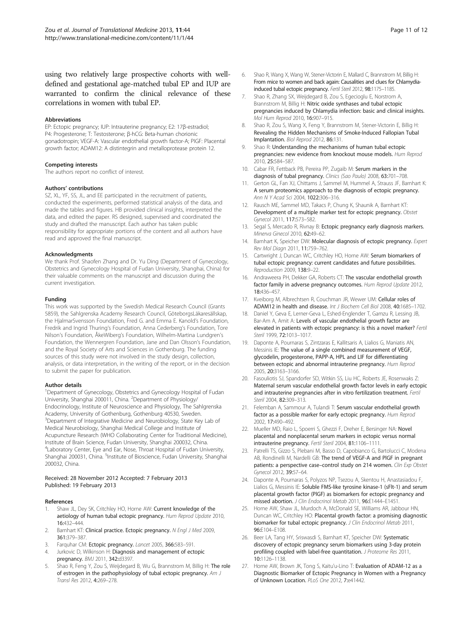<span id="page-10-0"></span>using two relatively large prospective cohorts with welldefined and gestational age-matched tubal EP and IUP are warranted to confirm the clinical relevance of these correlations in women with tubal EP.

#### Abbreviations

EP: Ectopic pregnancy; IUP: Intrauterine pregnancy; E2: 17β-estradiol; P4: Progesterone; T: Testosterone; β-hCG: Beta-human chorionic gonadotropin; VEGF-A: Vascular endothelial growth factor-A; PIGF: Placental growth factor; ADAM12: A distintegrin and metalloprotease protein 12.

#### Competing interests

The authors report no conflict of interest.

#### Authors' contributions

SZ, XL, YF, SS, JL, and EE participated in the recruitment of patients, conducted the experiments, performed statistical analysis of the data, and made the tables and figures. HB provided clinical insights, interpreted the data, and edited the paper. RS designed, supervised and coordinated the study and drafted the manuscript. Each author has taken public responsibility for appropriate portions of the content and all authors have read and approved the final manuscript.

#### Acknowledgments

We thank Prof. Shaofen Zhang and Dr. Yu Ding (Department of Gynecology, Obstetrics and Gynecology Hospital of Fudan University, Shanghai, China) for their valuable comments on the manuscript and discussion during the current investigation.

#### Funding

This work was supported by the Swedish Medical Research Council (Grants 5859), the Sahlgrenska Academy Research Council, GöteborgsLäkaresällskap, the HjalmarSvensson Foundation, Fred G. and Emma E. Kanold's Foundation, Fredrik and Ingrid Thuring's Foundation, Anna Cederberg's Foundation, Tore Nilson's Foundation, ÅkeWiberg's Foundation, Wilhelm-Martina Lundgren's Foundation, the Wennergren Foundation, Jane and Dan Olsson's Foundation, and the Royal Society of Arts and Sciences in Gothenburg. The funding sources of this study were not involved in the study design, collection, analysis, or data interpretation, in the writing of the report, or in the decision to submit the paper for publication.

#### Author details

<sup>1</sup>Department of Gynecology, Obstetrics and Gynecology Hospital of Fudan University, Shanghai 200011, China. <sup>2</sup>Department of Physiology/ Endocrinology, Institute of Neuroscience and Physiology, The Sahlgrenska Academy, University of Gothenburg, Gothenburg 40530, Sweden. <sup>3</sup>Department of Integrative Medicine and Neurobiology, State Key Lab of Medical Neurobiology, Shanghai Medical College and Institute of Acupuncture Research (WHO Collaborating Center for Traditional Medicine), Institute of Brain Science, Fudan University, Shanghai 200032, China. 4 Laboratory Center, Eye and Ear, Nose, Throat Hospital of Fudan University, Shanghai 200031, China. <sup>5</sup>Institute of Bioscience, Fudan University, Shanghai 200032, China.

#### Received: 28 November 2012 Accepted: 7 February 2013 Published: 19 February 2013

#### References

- 1. Shaw JL, Dey SK, Critchley HO, Horne AW: Current knowledge of the aetiology of human tubal ectopic pregnancy. Hum Reprod Update 2010, 16:432–444.
- 2. Barnhart KT: Clinical practice. Ectopic pregnancy. N Engl J Med 2009, 361:379–387.
- 3. Farquhar CM: Ectopic pregnancy. Lancet 2005, 366:583–591.
- 4. Jurkovic D, Wilkinson H: Diagnosis and management of ectopic pregnancy. BMJ 2011, 342:d3397.
- 5. Shao R, Feng Y, Zou S, Weijdegard B, Wu G, Brannstrom M, Billig H: The role of estrogen in the pathophysiology of tubal ectopic pregnancy. Am J Transl Res 2012, 4:269–278.
- Shao R, Wang X, Wang W, Stener-Victorin E, Mallard C, Brannstrom M, Billig H: From mice to women and back again: Causalities and clues for Chlamydiainduced tubal ectopic pregnancy. Fertil Steril 2012, 98:1175–1185.
- 7. Shao R, Zhang SX, Weijdegard B, Zou S, Egecioglu E, Norstrom A, Brannstrom M, Billig H: Nitric oxide synthases and tubal ectopic pregnancies induced by Chlamydia infection: basic and clinical insights. Mol Hum Reprod 2010, 16:907–915.
- 8. Shao R, Zou S, Wang X, Feng Y, Brannstrom M, Stener-Victorin E, Billig H: Revealing the Hidden Mechanisms of Smoke-Induced Fallopian Tubal Implantation. Biol Reprod 2012, 86:131.
- Shao R: Understanding the mechanisms of human tubal ectopic pregnancies: new evidence from knockout mouse models. Hum Reprod 2010, 25:584–587.
- 10. Cabar FR, Fettback PB, Pereira PP, Zugaib M: Serum markers in the diagnosis of tubal pregnancy. Clinics (Sao Paulo) 2008, 63:701-708.
- 11. Gerton GL, Fan XJ, Chittams J, Sammel M, Hummel A, Strauss JF, Barnhart K: A serum proteomics approach to the diagnosis of ectopic pregnancy. Ann N Y Acad Sci 2004, 1022:306–316.
- 12. Rausch ME, Sammel MD, Takacs P, Chung K, Shaunik A, Barnhart KT: Development of a multiple marker test for ectopic pregnancy. Obstet Gynecol 2011, 117:573–582.
- 13. Segal S, Mercado R, Rivnay B: Ectopic pregnancy early diagnosis markers. Minerva Ginecol 2010, 62:49–62.
- 14. Barnhart K, Speicher DW: Molecular diagnosis of ectopic pregnancy. Expert Rev Mol Diagn 2011, 11:759–762.
- 15. Cartwright J, Duncan WC, Critchley HO, Horne AW: Serum biomarkers of tubal ectopic pregnancy: current candidates and future possibilities. Reproduction 2009, 138:9–22.
- 16. Andraweera PH, Dekker GA, Roberts CT: The vascular endothelial growth factor family in adverse pregnancy outcomes. Hum Reprod Update 2012, 18:436–457.
- 17. Kveiborg M, Albrechtsen R, Couchman JR, Wewer UM: Cellular roles of ADAM12 in health and disease. Int J Biochem Cell Biol 2008, 40:1685–1702.
- 18. Daniel Y, Geva E, Lerner-Geva L, Eshed-Englender T, Gamzu R, Lessing JB, Bar-Am A, Amit A: Levels of vascular endothelial growth factor are elevated in patients with ectopic pregnancy: is this a novel marker? Fertil Steril 1999, **72:**1013-1017.
- 19. Daponte A, Pournaras S, Zintzaras E, Kallitsaris A, Lialios G, Maniatis AN, Messinis IE: The value of a single combined measurement of VEGF, glycodelin, progesterone, PAPP-A, HPL and LIF for differentiating between ectopic and abnormal intrauterine pregnancy. Hum Reprod 2005, 20:3163–3166.
- 20. Fasouliotis SJ, Spandorfer SD, Witkin SS, Liu HC, Roberts JE, Rosenwaks Z: Maternal serum vascular endothelial growth factor levels in early ectopic and intrauterine pregnancies after in vitro fertilization treatment. Fertil Steril 2004, 82:309–313.
- 21. Felemban A, Sammour A, Tulandi T: Serum vascular endothelial growth factor as a possible marker for early ectopic pregnancy. Hum Reprod 2002, 17:490–492.
- 22. Mueller MD, Raio L, Spoerri S, Ghezzi F, Dreher E, Bersinger NA: Novel placental and nonplacental serum markers in ectopic versus normal intrauterine pregnancy. Fertil Steril 2004, 81:1106–1111.
- 23. Patrelli TS, Gizzo S, Plebani M, Basso D, Capobianco G, Bartolucci C, Modena AB, Rondinelli M, Nardelli GB: The trend of VEGF-A and PIGF in pregnant patients: a perspective case-control study on 214 women. Clin Exp Obstet Gynecol 2012, 39:57–64.
- 24. Daponte A, Pournaras S, Polyzos NP, Tsezou A, Skentou H, Anastasiadou F, Lialios G, Messinis IE: Soluble FMS-like tyrosine kinase-1 (sFlt-1) and serum placental growth factor (PlGF) as biomarkers for ectopic pregnancy and missed abortion. J Clin Endocrinol Metab 2011, 96:E1444–E1451.
- 25. Horne AW, Shaw JL, Murdoch A, McDonald SE, Williams AR, Jabbour HN, Duncan WC, Critchley HO: Placental growth factor: a promising diagnostic biomarker for tubal ectopic pregnancy. J Clin Endocrinol Metab 2011, 96:E104–E108.
- 26. Beer LA, Tang HY, Sriswasdi S, Barnhart KT, Speicher DW: Systematic discovery of ectopic pregnancy serum biomarkers using 3-day protein profiling coupled with label-free quantitation. J Proteome Res 2011, 10:1126–1138.
- 27. Horne AW, Brown JK, Tong S, Kaitu'u-Lino T: Evaluation of ADAM-12 as a Diagnostic Biomarker of Ectopic Pregnancy in Women with a Pregnancy of Unknown Location. PLoS One 2012, 7:e41442.